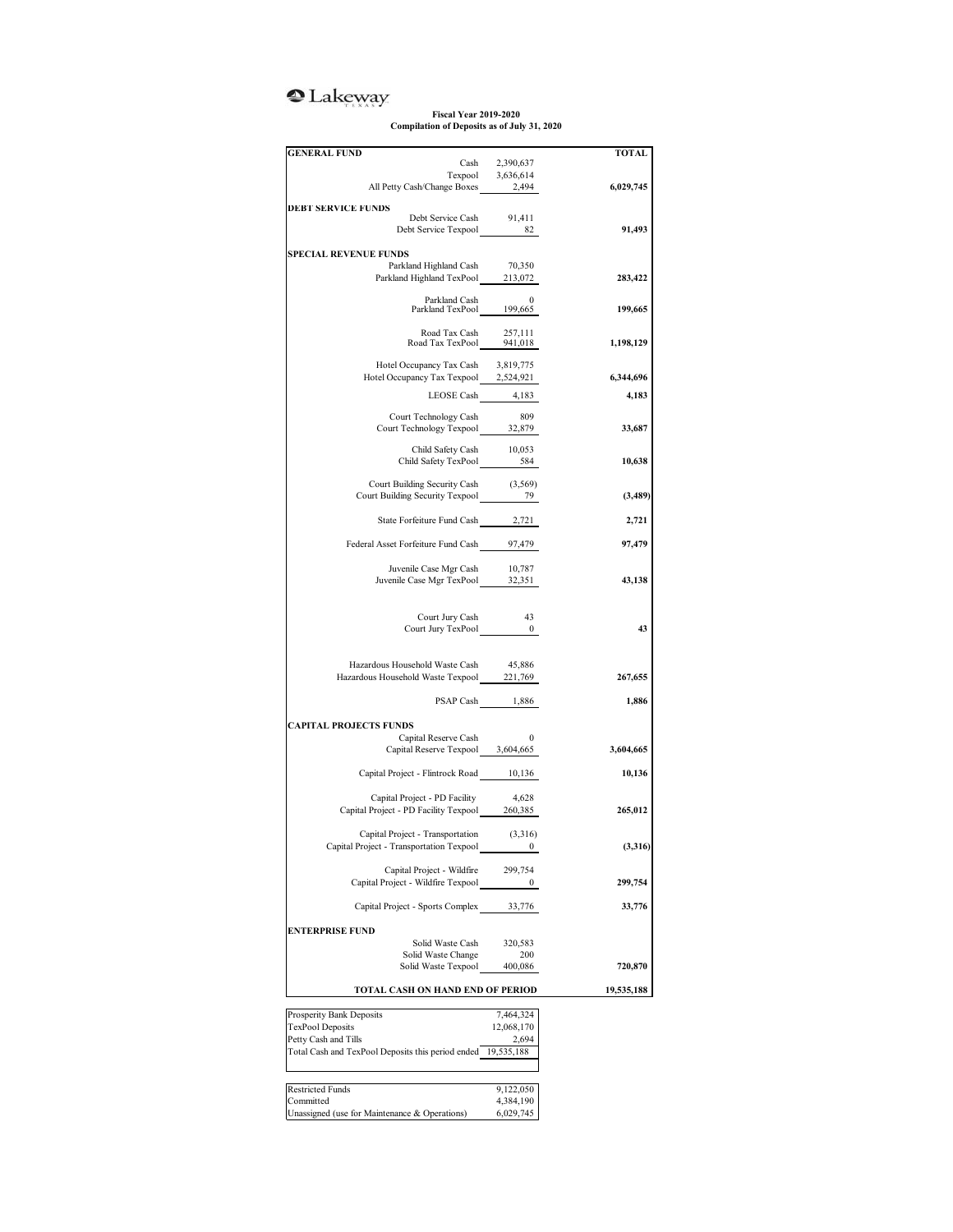## <sup>2</sup>Lakeway

**Fiscal Year 2019-2020 Compilation of Deposits as of July 31, 2020**

| <b>GENERAL FUND</b>                                                                                   |                                     | TOTAL      |
|-------------------------------------------------------------------------------------------------------|-------------------------------------|------------|
|                                                                                                       | Cash 2,390,637<br>Texpool 3,636,614 |            |
| All Petty Cash/Change Boxes 2,494                                                                     |                                     | 6,029,745  |
|                                                                                                       |                                     |            |
| <b>DEBT SERVICE FUNDS</b>                                                                             |                                     |            |
| Debt Service Cash 91,411<br>Debt Service Texpool 82                                                   |                                     | 91,493     |
|                                                                                                       |                                     |            |
| <b>SPECIAL REVENUE FUNDS</b>                                                                          |                                     |            |
| ${\rm Parkland~Highland~Cash} \qquad \qquad 70,350$ Parkland Highland TexPool $\qquad \qquad 213,072$ |                                     | 283,422    |
|                                                                                                       |                                     |            |
| Parkland Cash 0<br>Parkland TexPool 199,665                                                           |                                     | 199,665    |
|                                                                                                       |                                     |            |
| Road Tax Cash 257,111<br>Road Tax TexPool 941,018                                                     |                                     |            |
|                                                                                                       |                                     | 1,198,129  |
| Hotel Occupancy Tax Cash                                                                              | 3,819,775                           |            |
| Hotel Occupancy Tax Texpool 2,524,921                                                                 |                                     | 6,344,696  |
| LEOSE Cash 4,183                                                                                      |                                     | 4,183      |
|                                                                                                       |                                     |            |
| Court Technology Cash                                                                                 | 809                                 |            |
| Court Technology Texpool 32,879                                                                       |                                     | 33,687     |
| Child Safety Cash                                                                                     | 10,053                              |            |
| Child Safety TexPool 584                                                                              |                                     | 10,638     |
| Court Building Security Cash                                                                          | (3, 569)                            |            |
| Court Building Security Texpool 79                                                                    |                                     | (3,489)    |
|                                                                                                       |                                     |            |
| State Forfeiture Fund Cash 2,721                                                                      |                                     | 2,721      |
|                                                                                                       |                                     |            |
| Federal Asset Forfeiture Fund Cash 97,479                                                             |                                     | 97,479     |
| Juvenile Case Mgr Cash                                                                                | 10,787                              |            |
| Juvenile Case Mgr TexPool 32,351                                                                      |                                     | 43,138     |
|                                                                                                       |                                     |            |
|                                                                                                       |                                     |            |
| Court Jury Cash<br>Court Jury TexPool 0                                                               | 43                                  | 43         |
|                                                                                                       |                                     |            |
|                                                                                                       |                                     |            |
| Hazardous Household Waste Cash                                                                        | 45,886                              |            |
| Hazardous Household Waste Texpool 221,769                                                             |                                     | 267,655    |
|                                                                                                       | PSAP Cash 1,886                     | 1,886      |
|                                                                                                       |                                     |            |
| <b>CAPITAL PROJECTS FUNDS</b>                                                                         |                                     |            |
| Capital Reserve Cash                                                                                  | $\mathbf{0}$                        |            |
| Capital Reserve Texpool 3,604,665                                                                     |                                     | 3,604,665  |
| Capital Project - Flintrock Road 10,136                                                               |                                     | 10,136     |
|                                                                                                       |                                     |            |
| Capital Project - PD Facility                                                                         | 4,628                               |            |
| Capital Project - PD Facility Texpool 260,385                                                         |                                     | 265,012    |
| Capital Project - Transportation                                                                      | (3,316)                             |            |
| Capital Project - Transportation Texpool                                                              | 0                                   | (3,316)    |
|                                                                                                       |                                     |            |
| Capital Project - Wildfire                                                                            | 299,754                             |            |
| Capital Project - Wildfire Texpool                                                                    | 0                                   | 299,754    |
| Capital Project - Sports Complex 33,776                                                               |                                     | 33,776     |
|                                                                                                       |                                     |            |
| <b>ENTERPRISE FUND</b>                                                                                |                                     |            |
| Solid Waste Cash                                                                                      | 320,583                             |            |
| Solid Waste Change                                                                                    | 200                                 |            |
| Solid Waste Texpool                                                                                   | 400,086                             | 720,870    |
| TOTAL CASH ON HAND END OF PERIOD                                                                      |                                     | 19,535,188 |
|                                                                                                       |                                     |            |
| Prosperity Bank Deposits                                                                              | 7,464,324                           |            |
| <b>TexPool Deposits</b><br>Petty Cash and Tills                                                       | 12,068,170<br>2,694                 |            |
| Total Cash and TexPool Deposits this period ended 19,535,188                                          |                                     |            |
|                                                                                                       |                                     |            |
|                                                                                                       |                                     |            |
| <b>Restricted Funds</b>                                                                               | 9,122,050                           |            |
| Committed<br>Unassigned (use for Maintenance & Operations)                                            | 4,384,190<br>6,029,745              |            |
|                                                                                                       |                                     |            |